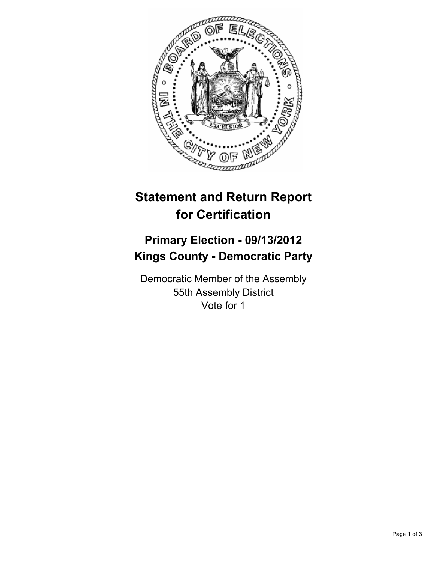

# **Statement and Return Report for Certification**

## **Primary Election - 09/13/2012 Kings County - Democratic Party**

Democratic Member of the Assembly 55th Assembly District Vote for 1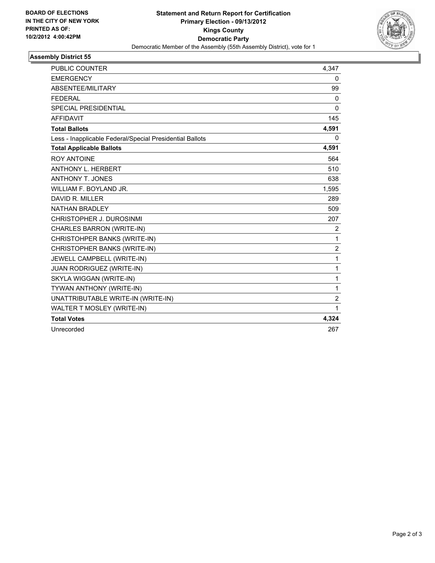

### **Assembly District 55**

| <b>PUBLIC COUNTER</b>                                    | 4,347        |
|----------------------------------------------------------|--------------|
| <b>EMERGENCY</b>                                         | 0            |
| ABSENTEE/MILITARY                                        | 99           |
| <b>FEDERAL</b>                                           | $\mathbf{0}$ |
| <b>SPECIAL PRESIDENTIAL</b>                              | $\Omega$     |
| <b>AFFIDAVIT</b>                                         | 145          |
| <b>Total Ballots</b>                                     | 4,591        |
| Less - Inapplicable Federal/Special Presidential Ballots | 0            |
| <b>Total Applicable Ballots</b>                          | 4,591        |
| <b>ROY ANTOINE</b>                                       | 564          |
| <b>ANTHONY L. HERBERT</b>                                | 510          |
| <b>ANTHONY T. JONES</b>                                  | 638          |
| WILLIAM F. BOYLAND JR.                                   | 1,595        |
| DAVID R. MILLER                                          | 289          |
| <b>NATHAN BRADLEY</b>                                    | 509          |
| CHRISTOPHER J. DUROSINMI                                 | 207          |
| <b>CHARLES BARRON (WRITE-IN)</b>                         | 2            |
| CHRISTOHPER BANKS (WRITE-IN)                             | 1            |
| CHRISTOPHER BANKS (WRITE-IN)                             | 2            |
| JEWELL CAMPBELL (WRITE-IN)                               | 1            |
| <b>JUAN RODRIGUEZ (WRITE-IN)</b>                         | 1            |
| SKYLA WIGGAN (WRITE-IN)                                  | 1            |
| TYWAN ANTHONY (WRITE-IN)                                 | 1            |
| UNATTRIBUTABLE WRITE-IN (WRITE-IN)                       | 2            |
| WALTER T MOSLEY (WRITE-IN)                               | 1            |
| <b>Total Votes</b>                                       | 4,324        |
| Unrecorded                                               | 267          |